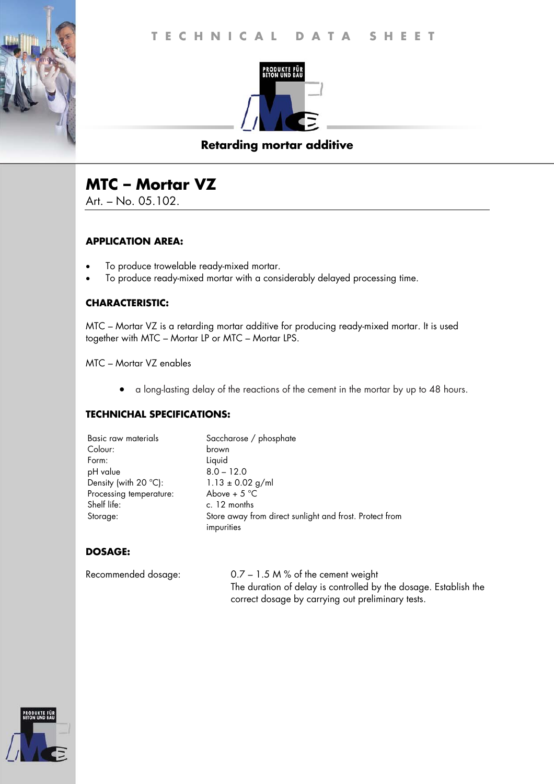

## **Retarding mortar additive**

# **MTC – Mortar VZ**

Art. – No. 05.102.

#### **APPLICATION AREA:**

- To produce trowelable ready-mixed mortar.
- To produce ready-mixed mortar with a considerably delayed processing time.

#### **CHARACTERISTIC:**

MTC – Mortar VZ is a retarding mortar additive for producing ready-mixed mortar. It is used together with MTC – Mortar LP or MTC – Mortar LPS.

MTC – Mortar VZ enables

a long-lasting delay of the reactions of the cement in the mortar by up to 48 hours.

#### **TECHNICHAL SPECIFICATIONS:**

| Basic raw materials            | Saccharose / phosphate                                                |
|--------------------------------|-----------------------------------------------------------------------|
| Colour:                        | brown                                                                 |
| Form:                          | Liquid                                                                |
| pH value                       | $8.0 - 12.0$                                                          |
| Density (with $20^{\circ}$ C): | $1.13 \pm 0.02$ g/ml                                                  |
| Processing temperature:        | Above + $5^{\circ}$ C                                                 |
| Shelf life:                    | c. 12 months                                                          |
| Storage:                       | Store away from direct sunlight and frost. Protect from<br>impurities |

### **DOSAGE:**

Recommended dosage: 0.7 – 1.5 M % of the cement weight The duration of delay is controlled by the dosage. Establish the correct dosage by carrying out preliminary tests.